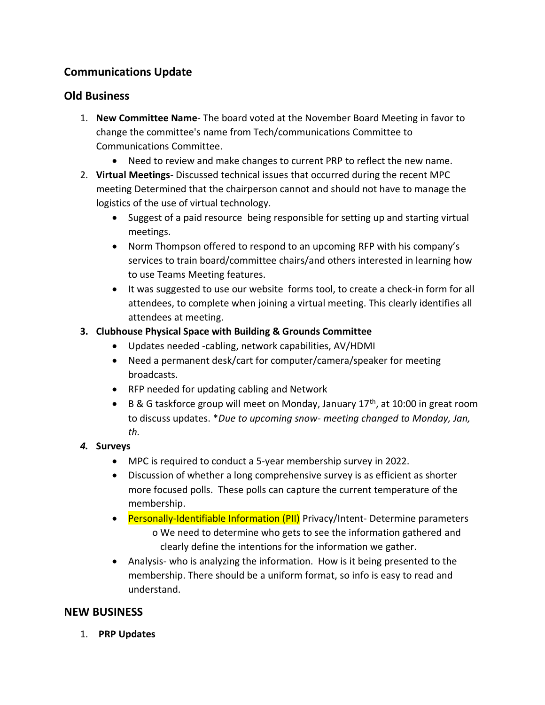# **Communications Update**

# **Old Business**

- 1. **New Committee Name** The board voted at the November Board Meeting in favor to change the committee's name from Tech/communications Committee to Communications Committee.
	- Need to review and make changes to current PRP to reflect the new name.
- 2. **Virtual Meetings** Discussed technical issues that occurred during the recent MPC meeting Determined that the chairperson cannot and should not have to manage the logistics of the use of virtual technology.
	- Suggest of a paid resource being responsible for setting up and starting virtual meetings.
	- Norm Thompson offered to respond to an upcoming RFP with his company's services to train board/committee chairs/and others interested in learning how to use Teams Meeting features.
	- It was suggested to use our website forms tool, to create a check-in form for all attendees, to complete when joining a virtual meeting. This clearly identifies all attendees at meeting.

## **3. Clubhouse Physical Space with Building & Grounds Committee**

- Updates needed -cabling, network capabilities, AV/HDMI
- Need a permanent desk/cart for computer/camera/speaker for meeting broadcasts.
- RFP needed for updating cabling and Network
- B & G taskforce group will meet on Monday, January  $17<sup>th</sup>$ , at 10:00 in great room to discuss updates. \**Due to upcoming snow- meeting changed to Monday, Jan, th.*

### *4.* **Surveys**

- MPC is required to conduct a 5-year membership survey in 2022.
- Discussion of whether a long comprehensive survey is as efficient as shorter more focused polls. These polls can capture the current temperature of the membership.
- Personally-Identifiable Information (PII) Privacy/Intent-Determine parameters o We need to determine who gets to see the information gathered and clearly define the intentions for the information we gather.
- Analysis- who is analyzing the information. How is it being presented to the membership. There should be a uniform format, so info is easy to read and understand.

# **NEW BUSINESS**

1. **PRP Updates**